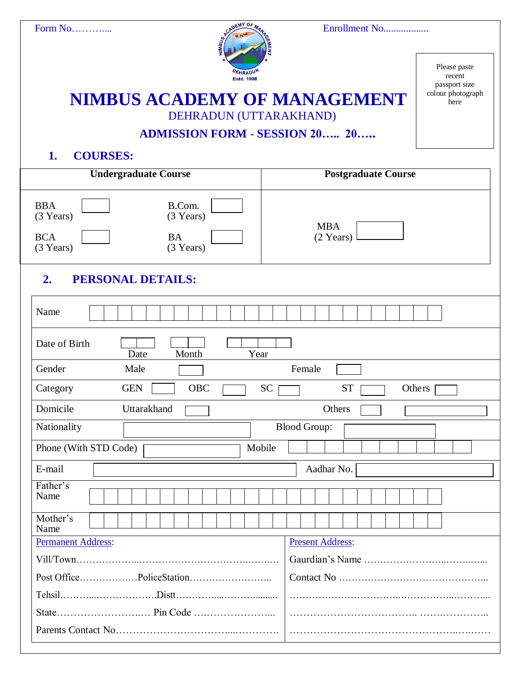

Please paste recent passport size colour photograph here

# **NIMBUS ACADEMY OF MANAGEMENT**

DEHRADUN (UTTARAKHAND)

# **ADMISSION FORM - SESSION 20….. 20…..**

### **1. COURSES:**

| <b>Undergraduate Course</b>                                                                                                           | Postgraduate Course               |
|---------------------------------------------------------------------------------------------------------------------------------------|-----------------------------------|
| <b>BBA</b><br>B.Com.<br>(3 Years)<br>(3 Years)<br><b>BCA</b><br><b>BA</b><br>(3 Years)<br>(3 Years)<br><b>PERSONAL DETAILS:</b><br>2. | <b>MBA</b><br>$(2 \text{ Years})$ |
| Name                                                                                                                                  |                                   |
| Date of Birth<br>Month<br>Year<br>Date                                                                                                |                                   |
| Gender<br>Male                                                                                                                        | Female                            |
| OBC<br>Category<br><b>GEN</b>                                                                                                         | <b>SC</b><br><b>ST</b><br>Others  |
| Domicile<br>Uttarakhand                                                                                                               | Others                            |
| Nationality                                                                                                                           | <b>Blood Group:</b>               |
| Phone (With STD Code)                                                                                                                 | Mobile                            |
| E-mail                                                                                                                                | Aadhar No.                        |
| Father's<br>Name                                                                                                                      |                                   |
| Mother's<br>Name                                                                                                                      |                                   |
| <b>Permanent Address:</b>                                                                                                             | <b>Present Address:</b>           |
|                                                                                                                                       |                                   |
|                                                                                                                                       |                                   |
|                                                                                                                                       |                                   |
|                                                                                                                                       |                                   |
|                                                                                                                                       |                                   |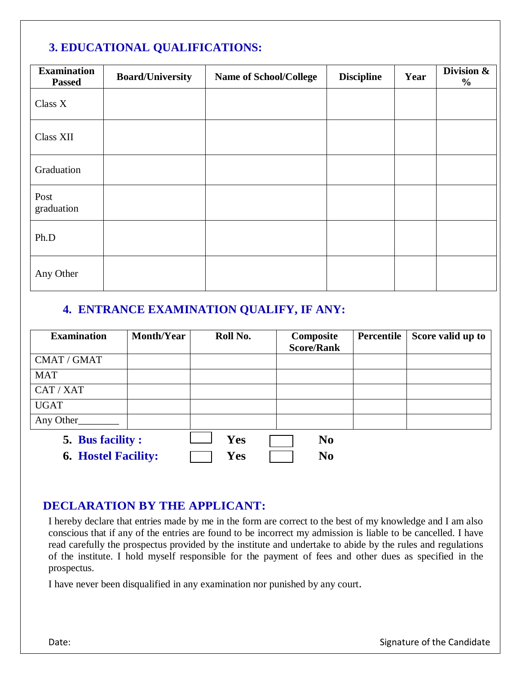## **3. EDUCATIONAL QUALIFICATIONS:**

| <b>Examination</b><br><b>Passed</b> | <b>Board/University</b> | <b>Name of School/College</b> | <b>Discipline</b> | Year | Division &<br>$\frac{6}{10}$ |
|-------------------------------------|-------------------------|-------------------------------|-------------------|------|------------------------------|
| Class X                             |                         |                               |                   |      |                              |
| Class XII                           |                         |                               |                   |      |                              |
| Graduation                          |                         |                               |                   |      |                              |
| Post<br>graduation                  |                         |                               |                   |      |                              |
| Ph.D                                |                         |                               |                   |      |                              |
| Any Other                           |                         |                               |                   |      |                              |

# **4. ENTRANCE EXAMINATION QUALIFY, IF ANY:**

| <b>Examination</b>         | <b>Month/Year</b> | Roll No.   | Composite<br><b>Score/Rank</b> | Percentile | Score valid up to |
|----------------------------|-------------------|------------|--------------------------------|------------|-------------------|
| CMAT / GMAT                |                   |            |                                |            |                   |
| <b>MAT</b>                 |                   |            |                                |            |                   |
| CAT / XAT                  |                   |            |                                |            |                   |
| <b>UGAT</b>                |                   |            |                                |            |                   |
| Any Other                  |                   |            |                                |            |                   |
| 5. Bus facility :          |                   | <b>Yes</b> | N <sub>0</sub>                 |            |                   |
| <b>6. Hostel Facility:</b> |                   | Yes        | N <sub>0</sub>                 |            |                   |

### **DECLARATION BY THE APPLICANT:**

I hereby declare that entries made by me in the form are correct to the best of my knowledge and I am also conscious that if any of the entries are found to be incorrect my admission is liable to be cancelled. I have read carefully the prospectus provided by the institute and undertake to abide by the rules and regulations of the institute. I hold myself responsible for the payment of fees and other dues as specified in the prospectus.

I have never been disqualified in any examination nor punished by any court.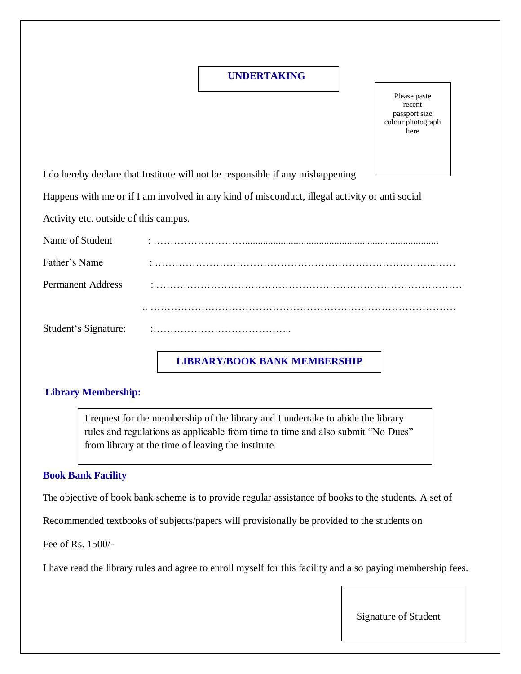#### **UNDERTAKING**

Please paste recent passport size colour photograph here

I do hereby declare that Institute will not be responsible if any mishappening

Happens with me or if I am involved in any kind of misconduct, illegal activity or anti social

Activity etc. outside of this campus.

| Name of Student          |           |
|--------------------------|-----------|
| Father's Name            |           |
| <b>Permanent Address</b> |           |
|                          |           |
| Student's Signature:     | $\bullet$ |

#### **LIBRARY/BOOK BANK MEMBERSHIP**

#### **Library Membership:**

I request for the membership of the library and I undertake to abide the library rules and regulations as applicable from time to time and also submit "No Dues" from library at the time of leaving the institute.

#### **Book Bank Facility**

The objective of book bank scheme is to provide regular assistance of books to the students. A set of

Recommended textbooks of subjects/papers will provisionally be provided to the students on

Fee of Rs. 1500/-

I have read the library rules and agree to enroll myself for this facility and also paying membership fees.

Signature of Student